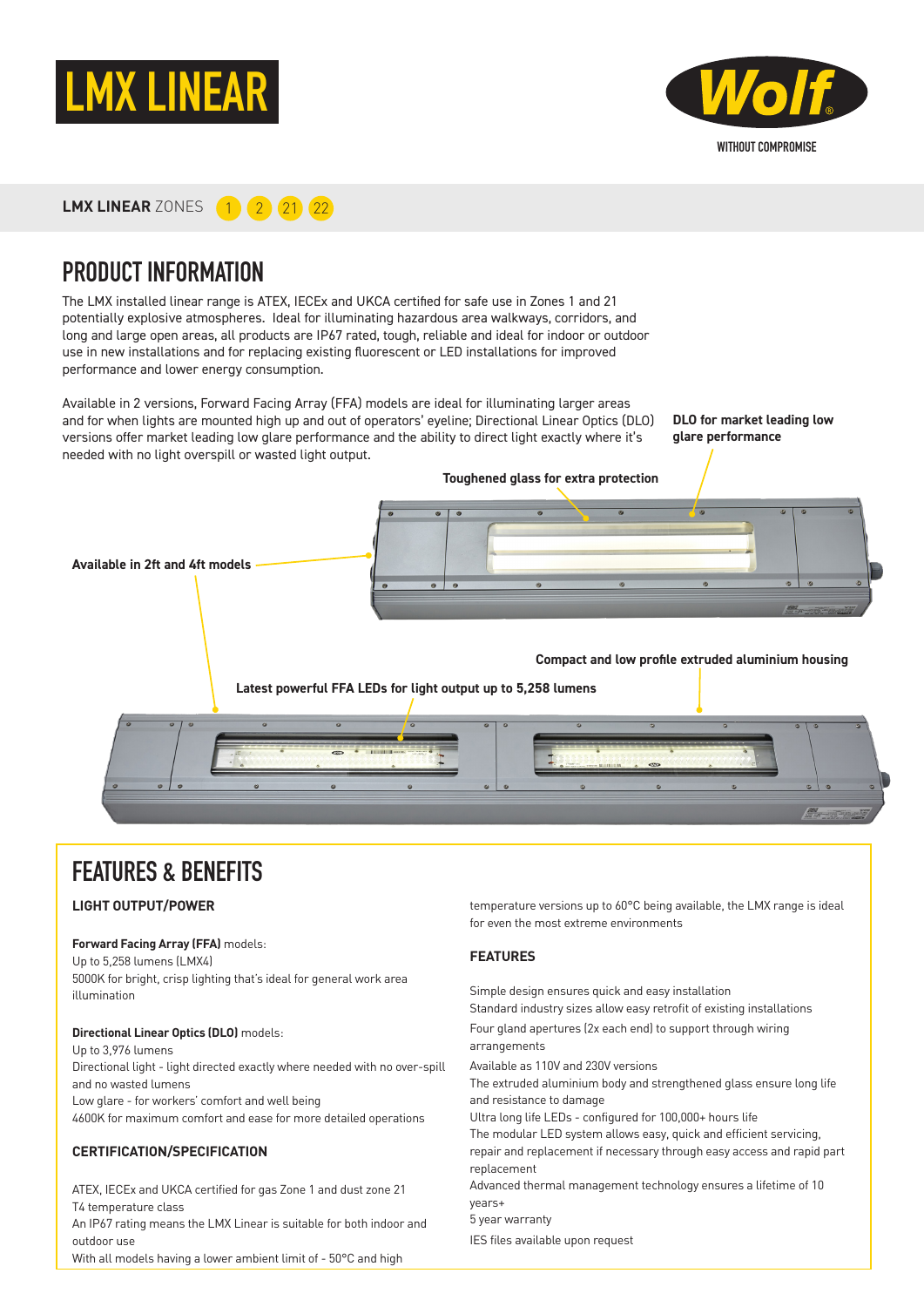



**LMX LINEAR** ZONES **1 2 21 22** 

### PRODUCT INFORMATION

The LMX installed linear range is ATEX, IECEx and UKCA certified for safe use in Zones 1 and 21 potentially explosive atmospheres. Ideal for illuminating hazardous area walkways, corridors, and long and large open areas, all products are IP67 rated, tough, reliable and ideal for indoor or outdoor use in new installations and for replacing existing fluorescent or LED installations for improved performance and lower energy consumption.

Available in 2 versions, Forward Facing Array (FFA) models are ideal for illuminating larger areas and for when lights are mounted high up and out of operators' eyeline; Directional Linear Optics (DLO) versions offer market leading low glare performance and the ability to direct light exactly where it's needed with no light overspill or wasted light output.

**DLO for market leading low glare performance**



### FEATURES & BENEFITS

#### **LIGHT OUTPUT/POWER**

#### **Forward Facing Array (FFA)** models:

Up to 5,258 lumens (LMX4) 5000K for bright, crisp lighting that's ideal for general work area illumination

**Directional Linear Optics (DLO)** models: Up to 3,976 lumens Directional light - light directed exactly where needed with no over-spill and no wasted lumens Low glare - for workers' comfort and well being 4600K for maximum comfort and ease for more detailed operations

#### **CERTIFICATION/SPECIFICATION**

ATEX, IECEx and UKCA certified for gas Zone 1 and dust zone 21 T4 temperature class An IP67 rating means the LMX Linear is suitable for both indoor and outdoor use With all models having a lower ambient limit of - 50°C and high

temperature versions up to 60°C being available, the LMX range is ideal for even the most extreme environments

#### **FEATURES**

Simple design ensures quick and easy installation Standard industry sizes allow easy retrofit of existing installations Four gland apertures (2x each end) to support through wiring arrangements Available as 110V and 230V versions The extruded aluminium body and strengthened glass ensure long life and resistance to damage Ultra long life LEDs - configured for 100,000+ hours life The modular LED system allows easy, quick and efficient servicing, repair and replacement if necessary through easy access and rapid part replacement Advanced thermal management technology ensures a lifetime of 10 years+ 5 year warranty IES files available upon request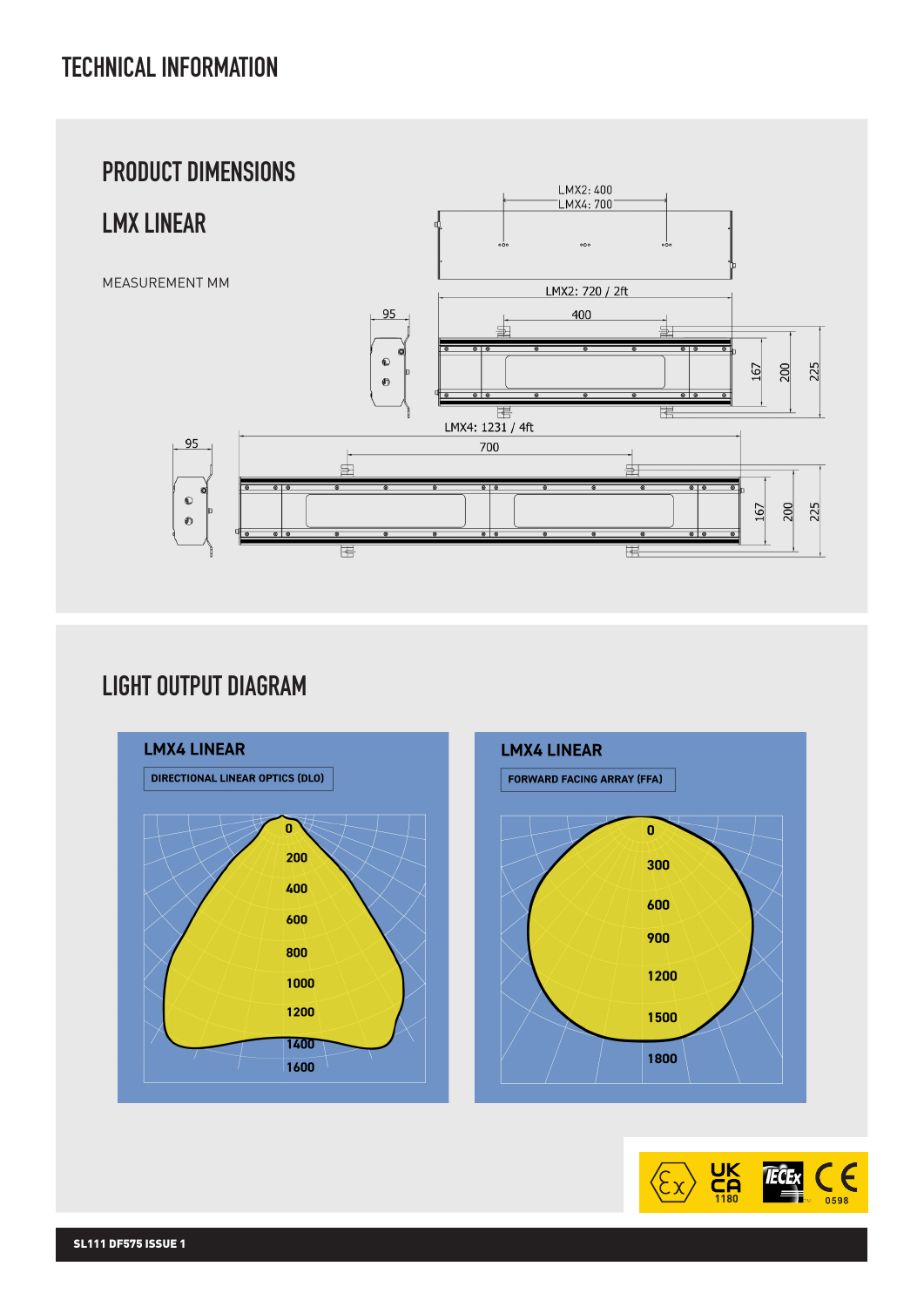

# LIGHT OUTPUT DIAGRAM